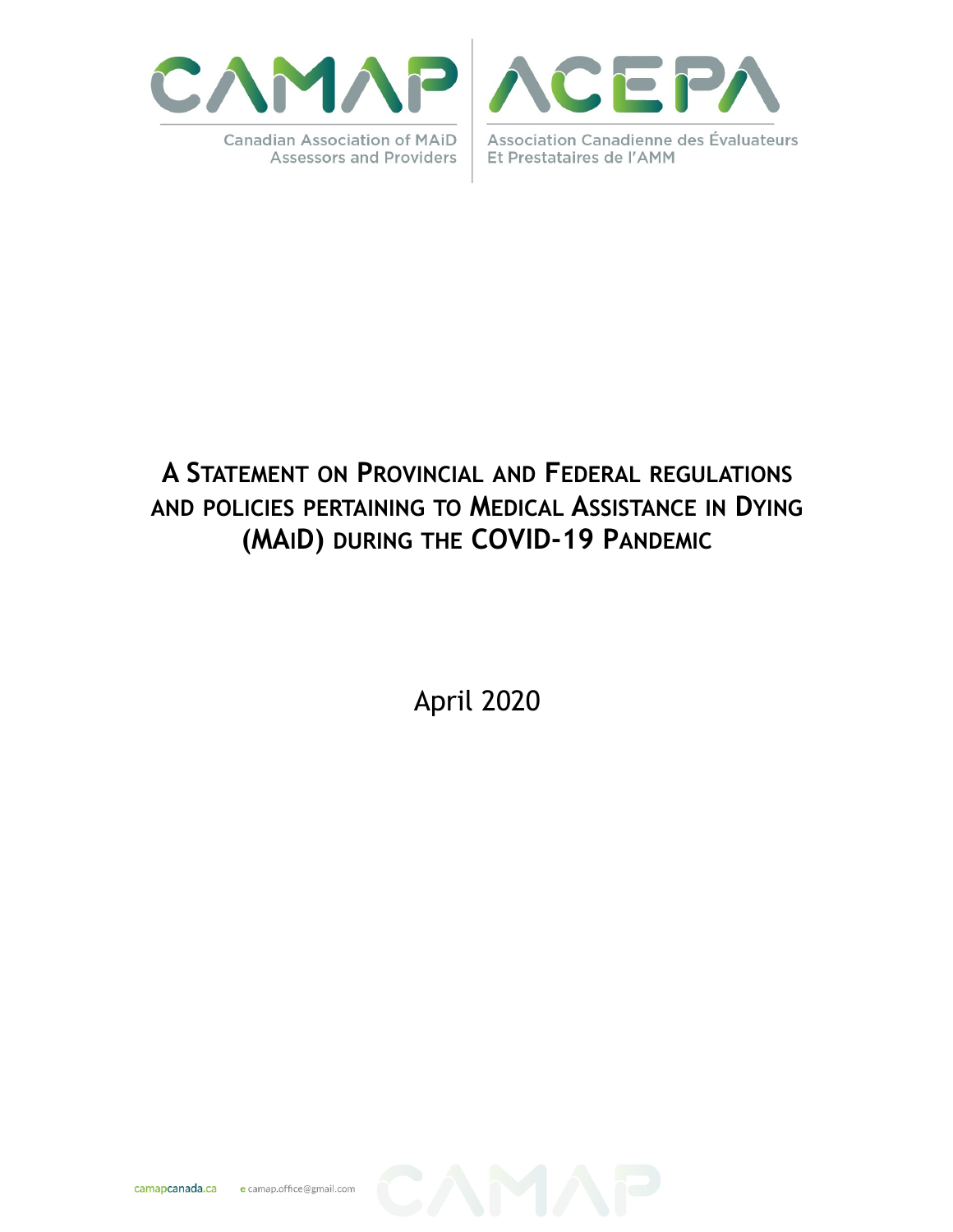

**Canadian Association of MAID Assessors and Providers** 



**Association Canadienne des Évaluateurs** Et Prestataires de l'AMM

# **A STATEMENT ON PROVINCIAL AND FEDERAL REGULATIONS AND POLICIES PERTAINING TO MEDICAL ASSISTANCE IN DYING (MAID) DURING THE COVID-19 PANDEMIC**

April 2020

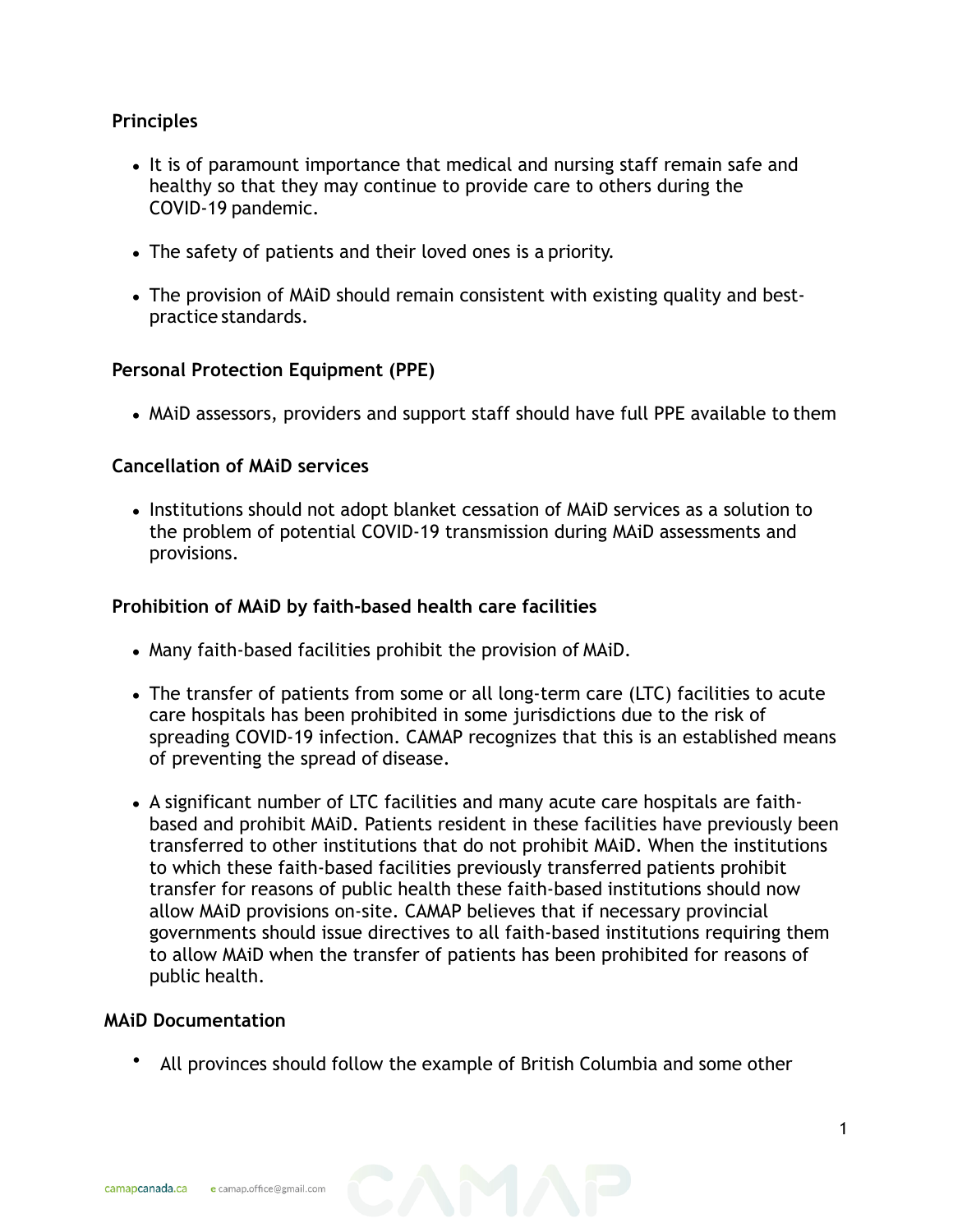## **Principles**

- It is of paramount importance that medical and nursing staff remain safe and healthy so that they may continue to provide care to others during the COVID-19 pandemic.
- The safety of patients and their loved ones is a priority.
- The provision of MAiD should remain consistent with existing quality and bestpractice standards.

## **Personal Protection Equipment (PPE)**

• MAiD assessors, providers and support staff should have full PPE available to them

#### **Cancellation of MAiD services**

• Institutions should not adopt blanket cessation of MAiD services as a solution to the problem of potential COVID-19 transmission during MAiD assessments and provisions.

### **Prohibition of MAiD by faith-based health care facilities**

- Many faith-based facilities prohibit the provision of MAiD.
- The transfer of patients from some or all long-term care (LTC) facilities to acute care hospitals has been prohibited in some jurisdictions due to the risk of spreading COVID-19 infection. CAMAP recognizes that this is an established means of preventing the spread of disease.
- A significant number of LTC facilities and many acute care hospitals are faithbased and prohibit MAiD. Patients resident in these facilities have previously been transferred to other institutions that do not prohibit MAiD. When the institutions to which these faith-based facilities previously transferred patients prohibit transfer for reasons of public health these faith-based institutions should now allow MAiD provisions on-site. CAMAP believes that if necessary provincial governments should issue directives to all faith-based institutions requiring them to allow MAiD when the transfer of patients has been prohibited for reasons of public health.

#### **MAiD Documentation**

• All provinces should follow the example of British Columbia and some other